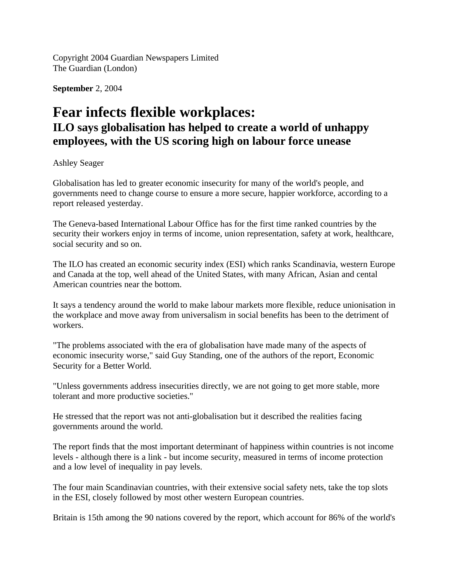Copyright 2004 Guardian Newspapers Limited The Guardian (London)

**September** 2, 2004

## **Fear infects flexible workplaces: ILO says globalisation has helped to create a world of unhappy employees, with the US scoring high on labour force unease**

## Ashley Seager

Globalisation has led to greater economic insecurity for many of the world's people, and governments need to change course to ensure a more secure, happier workforce, according to a report released yesterday.

The Geneva-based International Labour Office has for the first time ranked countries by the security their workers enjoy in terms of income, union representation, safety at work, healthcare, social security and so on.

The ILO has created an economic security index (ESI) which ranks Scandinavia, western Europe and Canada at the top, well ahead of the United States, with many African, Asian and cental American countries near the bottom.

It says a tendency around the world to make labour markets more flexible, reduce unionisation in the workplace and move away from universalism in social benefits has been to the detriment of workers.

"The problems associated with the era of globalisation have made many of the aspects of economic insecurity worse," said Guy Standing, one of the authors of the report, Economic Security for a Better World.

"Unless governments address insecurities directly, we are not going to get more stable, more tolerant and more productive societies."

He stressed that the report was not anti-globalisation but it described the realities facing governments around the world.

The report finds that the most important determinant of happiness within countries is not income levels - although there is a link - but income security, measured in terms of income protection and a low level of inequality in pay levels.

The four main Scandinavian countries, with their extensive social safety nets, take the top slots in the ESI, closely followed by most other western European countries.

Britain is 15th among the 90 nations covered by the report, which account for 86% of the world's